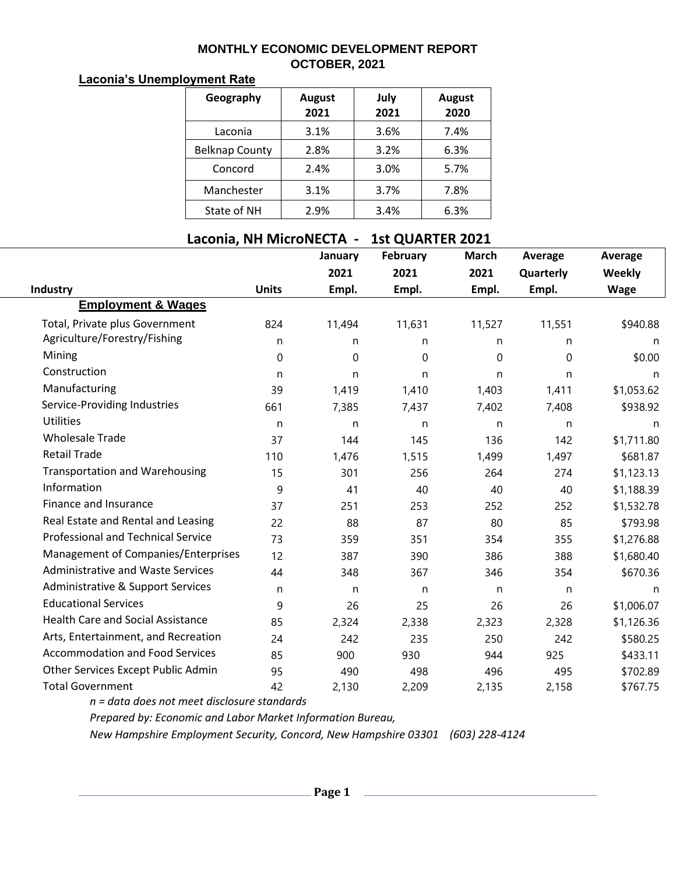## **MONTHLY ECONOMIC DEVELOPMENT REPORT OCTOBER, 2021**

## **Laconia's Unemployment Rate**

| Geography             | <b>August</b><br>2021 | July<br>2021 | <b>August</b><br>2020 |  |  |
|-----------------------|-----------------------|--------------|-----------------------|--|--|
| Laconia               | 3.1%                  | 3.6%         | 7.4%                  |  |  |
| <b>Belknap County</b> | 2.8%                  | 3.2%         | 6.3%                  |  |  |
| Concord               | 2.4%                  | 3.0%         | 5.7%                  |  |  |
| Manchester            | 3.1%                  | 3.7%         | 7.8%                  |  |  |
| State of NH           | 2.9%                  | 3.4%         | 6.3%                  |  |  |

## **Laconia, NH MicroNECTA - 1st QUARTER 2021**

|                                              |              | January | February | <b>March</b> | <b>Average</b> | <b>Average</b> |
|----------------------------------------------|--------------|---------|----------|--------------|----------------|----------------|
|                                              |              | 2021    | 2021     | 2021         | Quarterly      | Weekly         |
| Industry                                     | <b>Units</b> | Empl.   | Empl.    | Empl.        | Empl.          | <b>Wage</b>    |
| <b>Employment &amp; Wages</b>                |              |         |          |              |                |                |
| Total, Private plus Government               | 824          | 11,494  | 11,631   | 11,527       | 11,551         | \$940.88       |
| Agriculture/Forestry/Fishing                 | n            | n       | n        | n            | n              | n              |
| Mining                                       | 0            | 0       | 0        | 0            | 0              | \$0.00         |
| Construction                                 | n            | n       | n        | n            | n              | n              |
| Manufacturing                                | 39           | 1,419   | 1,410    | 1,403        | 1,411          | \$1,053.62     |
| Service-Providing Industries                 | 661          | 7,385   | 7,437    | 7,402        | 7,408          | \$938.92       |
| <b>Utilities</b>                             | n            | n       | n        | n            | n              | n              |
| <b>Wholesale Trade</b>                       | 37           | 144     | 145      | 136          | 142            | \$1,711.80     |
| <b>Retail Trade</b>                          | 110          | 1,476   | 1,515    | 1,499        | 1,497          | \$681.87       |
| <b>Transportation and Warehousing</b>        | 15           | 301     | 256      | 264          | 274            | \$1,123.13     |
| Information                                  | 9            | 41      | 40       | 40           | 40             | \$1,188.39     |
| Finance and Insurance                        | 37           | 251     | 253      | 252          | 252            | \$1,532.78     |
| Real Estate and Rental and Leasing           | 22           | 88      | 87       | 80           | 85             | \$793.98       |
| <b>Professional and Technical Service</b>    | 73           | 359     | 351      | 354          | 355            | \$1,276.88     |
| Management of Companies/Enterprises          | 12           | 387     | 390      | 386          | 388            | \$1,680.40     |
| <b>Administrative and Waste Services</b>     | 44           | 348     | 367      | 346          | 354            | \$670.36       |
| <b>Administrative &amp; Support Services</b> | n            | n       | n        | n            | $\mathsf{n}$   | n              |
| <b>Educational Services</b>                  | 9            | 26      | 25       | 26           | 26             | \$1,006.07     |
| <b>Health Care and Social Assistance</b>     | 85           | 2,324   | 2,338    | 2,323        | 2,328          | \$1,126.36     |
| Arts, Entertainment, and Recreation          | 24           | 242     | 235      | 250          | 242            | \$580.25       |
| <b>Accommodation and Food Services</b>       | 85           | 900     | 930      | 944          | 925            | \$433.11       |
| Other Services Except Public Admin           | 95           | 490     | 498      | 496          | 495            | \$702.89       |
| <b>Total Government</b>                      | 42           | 2,130   | 2,209    | 2,135        | 2,158          | \$767.75       |

*n = data does not meet disclosure standards*

*Prepared by: Economic and Labor Market Information Bureau,*

*New Hampshire Employment Security, Concord, New Hampshire 03301 (603) 228-4124*